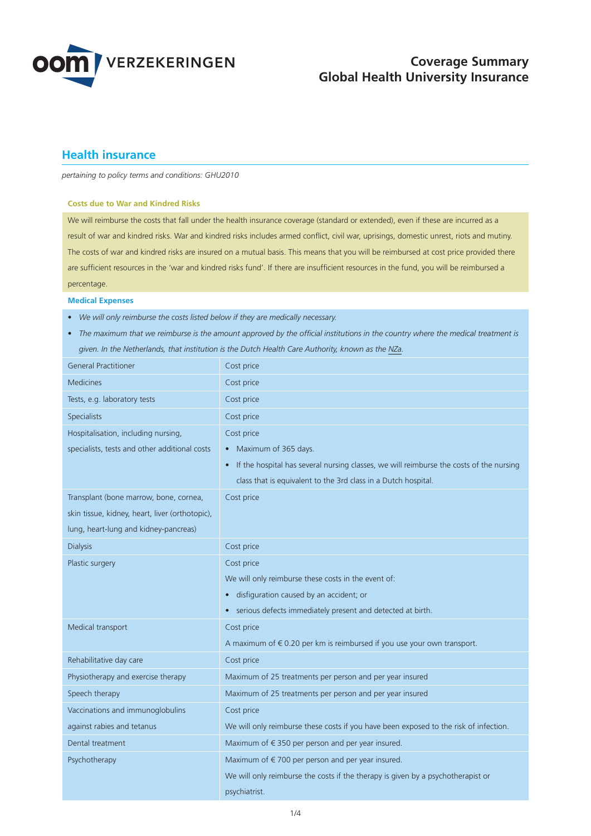

# **Health insurance**

*pertaining to policy terms and conditions: GHU2010*

### **Costs due to War and Kindred Risks**

We will reimburse the costs that fall under the health insurance coverage (standard or extended), even if these are incurred as a result of war and kindred risks. War and kindred risks includes armed conflict, civil war, uprisings, domestic unrest, riots and mutiny. The costs of war and kindred risks are insured on a mutual basis. This means that you will be reimbursed at cost price provided there are sufficient resources in the 'war and kindred risks fund'. If there are insufficient resources in the fund, you will be reimbursed a percentage.

#### **Medical Expenses**

- *We will only reimburse the costs listed below if they are medically necessary.*
- *The maximum that we reimburse is the amount approved by the official institutions in the country where the medical treatment is given. In the Netherlands, that institution is the Dutch Health Care Authority, known as the NZa.*

| <b>General Practitioner</b>                     | Cost price                                                                                           |
|-------------------------------------------------|------------------------------------------------------------------------------------------------------|
| <b>Medicines</b>                                | Cost price                                                                                           |
| Tests, e.g. laboratory tests                    | Cost price                                                                                           |
| Specialists                                     | Cost price                                                                                           |
| Hospitalisation, including nursing,             | Cost price                                                                                           |
| specialists, tests and other additional costs   | • Maximum of 365 days.                                                                               |
|                                                 | If the hospital has several nursing classes, we will reimburse the costs of the nursing<br>$\bullet$ |
|                                                 | class that is equivalent to the 3rd class in a Dutch hospital.                                       |
| Transplant (bone marrow, bone, cornea,          | Cost price                                                                                           |
| skin tissue, kidney, heart, liver (orthotopic), |                                                                                                      |
| lung, heart-lung and kidney-pancreas)           |                                                                                                      |
| <b>Dialysis</b>                                 | Cost price                                                                                           |
| Plastic surgery                                 | Cost price                                                                                           |
|                                                 | We will only reimburse these costs in the event of:                                                  |
|                                                 | disfiguration caused by an accident; or<br>$\bullet$                                                 |
|                                                 | • serious defects immediately present and detected at birth.                                         |
| Medical transport                               | Cost price                                                                                           |
|                                                 | A maximum of €0.20 per km is reimbursed if you use your own transport.                               |
| Rehabilitative day care                         | Cost price                                                                                           |
| Physiotherapy and exercise therapy              | Maximum of 25 treatments per person and per year insured                                             |
| Speech therapy                                  | Maximum of 25 treatments per person and per year insured                                             |
| Vaccinations and immunoglobulins                | Cost price                                                                                           |
| against rabies and tetanus                      | We will only reimburse these costs if you have been exposed to the risk of infection.                |
| Dental treatment                                | Maximum of €350 per person and per year insured.                                                     |
| Psychotherapy                                   | Maximum of €700 per person and per year insured.                                                     |
|                                                 | We will only reimburse the costs if the therapy is given by a psychotherapist or                     |
|                                                 | psychiatrist.                                                                                        |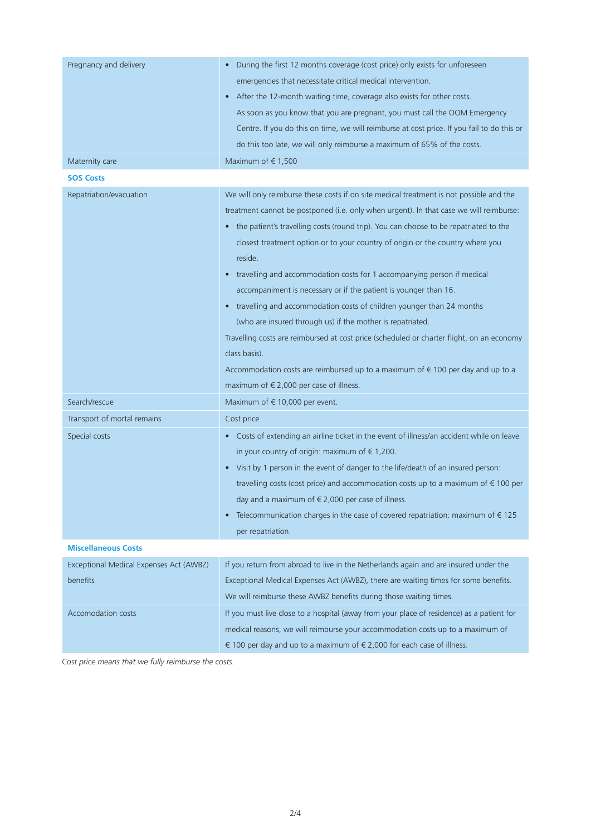| Pregnancy and delivery                  | During the first 12 months coverage (cost price) only exists for unforeseen<br>$\bullet$    |
|-----------------------------------------|---------------------------------------------------------------------------------------------|
|                                         | emergencies that necessitate critical medical intervention.                                 |
|                                         | After the 12-month waiting time, coverage also exists for other costs.                      |
|                                         | As soon as you know that you are pregnant, you must call the OOM Emergency                  |
|                                         | Centre. If you do this on time, we will reimburse at cost price. If you fail to do this or  |
|                                         | do this too late, we will only reimburse a maximum of 65% of the costs.                     |
| Maternity care                          | Maximum of $\in$ 1,500                                                                      |
| <b>SOS Costs</b>                        |                                                                                             |
| Repatriation/evacuation                 | We will only reimburse these costs if on site medical treatment is not possible and the     |
|                                         | treatment cannot be postponed (i.e. only when urgent). In that case we will reimburse:      |
|                                         | • the patient's travelling costs (round trip). You can choose to be repatriated to the      |
|                                         | closest treatment option or to your country of origin or the country where you              |
|                                         | reside.                                                                                     |
|                                         | travelling and accommodation costs for 1 accompanying person if medical<br>$\bullet$        |
|                                         | accompaniment is necessary or if the patient is younger than 16.                            |
|                                         | • travelling and accommodation costs of children younger than 24 months                     |
|                                         | (who are insured through us) if the mother is repatriated.                                  |
|                                         | Travelling costs are reimbursed at cost price (scheduled or charter flight, on an economy   |
|                                         | class basis).                                                                               |
|                                         |                                                                                             |
|                                         | Accommodation costs are reimbursed up to a maximum of $\epsilon$ 100 per day and up to a    |
|                                         | maximum of $\in$ 2,000 per case of illness.                                                 |
| Search/rescue                           | Maximum of €10,000 per event.                                                               |
| Transport of mortal remains             | Cost price                                                                                  |
| Special costs                           | • Costs of extending an airline ticket in the event of illness/an accident while on leave   |
|                                         | in your country of origin: maximum of $\epsilon$ 1,200.                                     |
|                                         | • Visit by 1 person in the event of danger to the life/death of an insured person:          |
|                                         | travelling costs (cost price) and accommodation costs up to a maximum of $\epsilon$ 100 per |
|                                         | day and a maximum of $\epsilon$ 2,000 per case of illness.                                  |
|                                         | • Telecommunication charges in the case of covered repatriation: maximum of $\epsilon$ 125  |
|                                         | per repatriation.                                                                           |
| <b>Miscellaneous Costs</b>              |                                                                                             |
| Exceptional Medical Expenses Act (AWBZ) | If you return from abroad to live in the Netherlands again and are insured under the        |
| benefits                                | Exceptional Medical Expenses Act (AWBZ), there are waiting times for some benefits.         |
|                                         | We will reimburse these AWBZ benefits during those waiting times.                           |
| Accomodation costs                      | If you must live close to a hospital (away from your place of residence) as a patient for   |
|                                         | medical reasons, we will reimburse your accommodation costs up to a maximum of              |
|                                         | € 100 per day and up to a maximum of € 2,000 for each case of illness.                      |

*Cost price means that we fully reimburse the costs.*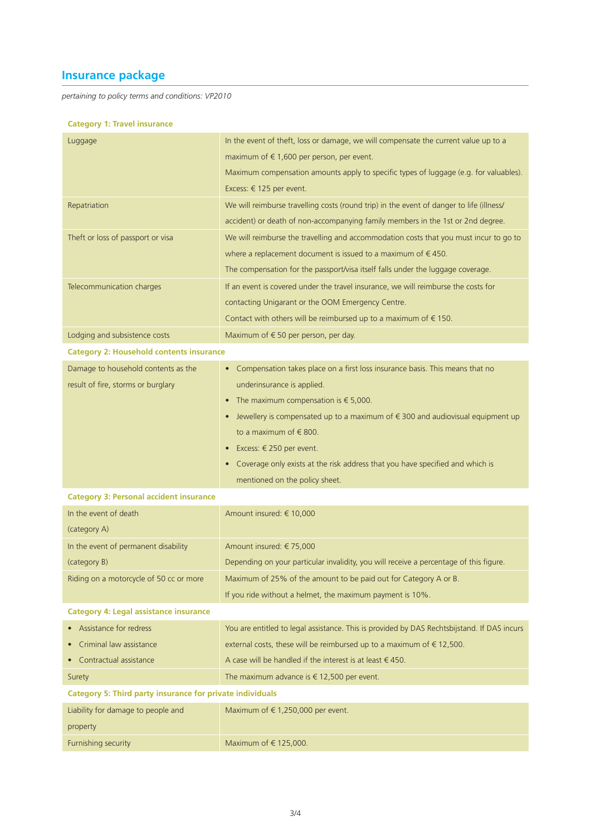# **Insurance package**

*pertaining to policy terms and conditions: VP2010*

# **Category 1: Travel insurance**

| Luggage                                                          | In the event of theft, loss or damage, we will compensate the current value up to a         |  |
|------------------------------------------------------------------|---------------------------------------------------------------------------------------------|--|
|                                                                  | maximum of $\epsilon$ 1,600 per person, per event.                                          |  |
|                                                                  | Maximum compensation amounts apply to specific types of luggage (e.g. for valuables).       |  |
|                                                                  | Excess: € 125 per event.                                                                    |  |
| Repatriation                                                     | We will reimburse travelling costs (round trip) in the event of danger to life (illness/    |  |
|                                                                  | accident) or death of non-accompanying family members in the 1st or 2nd degree.             |  |
| Theft or loss of passport or visa                                | We will reimburse the travelling and accommodation costs that you must incur to go to       |  |
|                                                                  | where a replacement document is issued to a maximum of $\epsilon$ 450.                      |  |
|                                                                  | The compensation for the passport/visa itself falls under the luggage coverage.             |  |
| Telecommunication charges                                        | If an event is covered under the travel insurance, we will reimburse the costs for          |  |
|                                                                  | contacting Unigarant or the OOM Emergency Centre.                                           |  |
|                                                                  | Contact with others will be reimbursed up to a maximum of $\epsilon$ 150.                   |  |
| Lodging and subsistence costs                                    | Maximum of $\epsilon$ 50 per person, per day.                                               |  |
| <b>Category 2: Household contents insurance</b>                  |                                                                                             |  |
| Damage to household contents as the                              | • Compensation takes place on a first loss insurance basis. This means that no              |  |
| result of fire, storms or burglary                               | underinsurance is applied.                                                                  |  |
|                                                                  | • The maximum compensation is $\epsilon$ 5,000.                                             |  |
|                                                                  | Jewellery is compensated up to a maximum of $\epsilon$ 300 and audiovisual equipment up     |  |
|                                                                  | to a maximum of $\in$ 800.                                                                  |  |
|                                                                  | ■ Excess: $€ 250$ per event.                                                                |  |
|                                                                  | • Coverage only exists at the risk address that you have specified and which is             |  |
|                                                                  | mentioned on the policy sheet.                                                              |  |
| <b>Category 3: Personal accident insurance</b>                   |                                                                                             |  |
| In the event of death                                            | Amount insured: € 10,000                                                                    |  |
| (category A)                                                     |                                                                                             |  |
| In the event of permanent disability                             | Amount insured: €75,000                                                                     |  |
| (category B)                                                     | Depending on your particular invalidity, you will receive a percentage of this figure.      |  |
| Riding on a motorcycle of 50 cc or more                          | Maximum of 25% of the amount to be paid out for Category A or B.                            |  |
|                                                                  | If you ride without a helmet, the maximum payment is 10%.                                   |  |
| <b>Category 4: Legal assistance insurance</b>                    |                                                                                             |  |
| • Assistance for redress                                         | You are entitled to legal assistance. This is provided by DAS Rechtsbijstand. If DAS incurs |  |
| Criminal law assistance                                          | external costs, these will be reimbursed up to a maximum of $\epsilon$ 12,500.              |  |
| • Contractual assistance                                         | A case will be handled if the interest is at least $\in$ 450.                               |  |
| Surety                                                           | The maximum advance is $\epsilon$ 12,500 per event.                                         |  |
| <b>Category 5: Third party insurance for private individuals</b> |                                                                                             |  |
| Liability for damage to people and                               | Maximum of $\in$ 1,250,000 per event.                                                       |  |
| property                                                         |                                                                                             |  |
| Furnishing security                                              | Maximum of €125,000.                                                                        |  |
|                                                                  |                                                                                             |  |